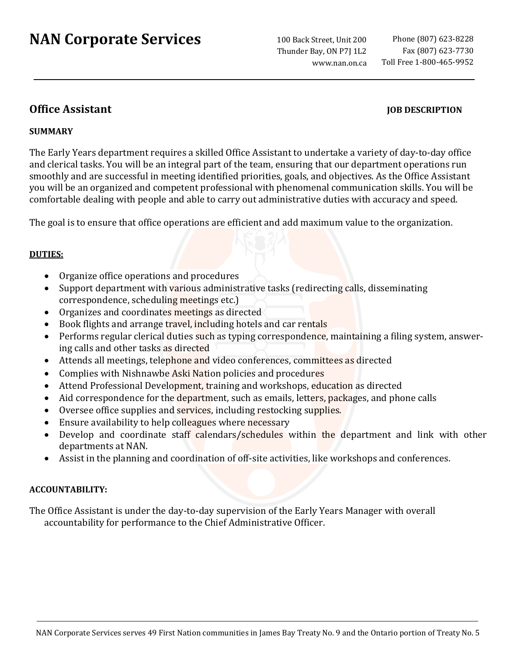# **NAN Corporate Services**

100 Back Street, Unit 200 Thunder Bay, ON P7J 1L2 www.nan.on.ca

## **Office Assistant JOB DESCRIPTION**

## **SUMMARY**

The Early Years department requires a skilled Office Assistant to undertake a variety of day-to-day office and clerical tasks. You will be an integral part of the team, ensuring that our department operations run smoothly and are successful in meeting identified priorities, goals, and objectives. As the Office Assistant you will be an organized and competent professional with phenomenal communication skills. You will be comfortable dealing with people and able to carry out [administrative duties](https://resources.workable.com/office-manager-job-description) with accuracy and speed.

The goal is to ensure that office operations are efficient and add maximum value to the organization.

## **DUTIES:**

- Organize office operations and procedures
- Support department with various administrative tasks (redirecting calls, disseminating correspondence, scheduling meetings etc.)
- Organizes and coordinates meetings as directed
- Book flights and arrange travel, including hotels and car rentals
- Performs regular clerical duties such as typing correspondence, maintaining a filing system, answering calls and other tasks as directed
- Attends all meetings, telephone and video conferences, committees as directed
- Complies with Nishnawbe Aski Nation policies and procedures
- Attend Professional Development, training and workshops, education as directed
- Aid correspondence for the department, such as emails, letters, packages, and phone calls
- Oversee office supplies and services, including restocking supplies.
- Ensure availability to help colleagues where necessary
- Develop and coordinate staff calendars/schedules within the department and link with other departments at NAN.
- Assist in the planning and coordination of off-site activities, like workshops and conferences.

## **ACCOUNTABILITY:**

The Office Assistant is under the day-to-day supervision of the Early Years Manager with overall accountability for performance to the Chief Administrative Officer.